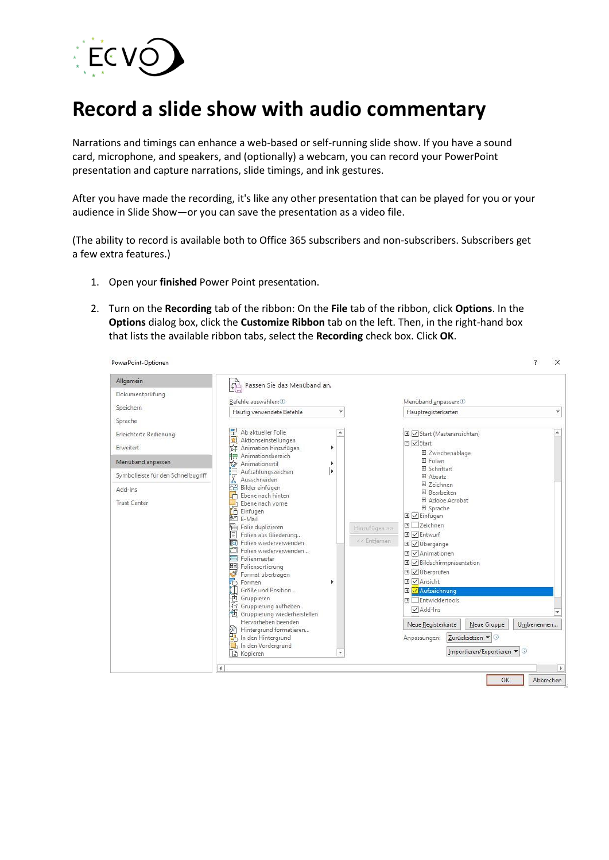

# **Record a slide show with audio commentary**

Narrations and timings can enhance a web-based or self-running slide show. If you have a sound card, microphone, and speakers, and (optionally) a webcam, you can record your PowerPoint presentation and capture narrations, slide timings, and ink gestures.

After you have made the recording, it's like any other presentation that can be played for you or your audience in Slide Show—or you can save the presentation as a video file.

(The ability to record is available both to Office 365 subscribers and non-subscribers. Subscribers get a few extra features.)

- 1. Open your **finished** Power Point presentation.
- 2. Turn on the **Recording** tab of the ribbon: On the **File** tab of the ribbon, click **Options**. In the **Options** dialog box, click the **Customize Ribbon** tab on the left. Then, in the right-hand box that lists the available ribbon tabs, select the **Recording** check box. Click **OK**.

| Allgemein                                                                                                                                    | 뭐 Passen Sie das Menüband an.                                                                                                                                                                                                                                                                                                                                                                                                                                                                                                                                                                       |                                             |                                  |                                                                                                                                                                                                                                                                                                                                                                                                                                                                |             |                         |    |  |
|----------------------------------------------------------------------------------------------------------------------------------------------|-----------------------------------------------------------------------------------------------------------------------------------------------------------------------------------------------------------------------------------------------------------------------------------------------------------------------------------------------------------------------------------------------------------------------------------------------------------------------------------------------------------------------------------------------------------------------------------------------------|---------------------------------------------|----------------------------------|----------------------------------------------------------------------------------------------------------------------------------------------------------------------------------------------------------------------------------------------------------------------------------------------------------------------------------------------------------------------------------------------------------------------------------------------------------------|-------------|-------------------------|----|--|
| Dokumentprüfung<br>Speichern                                                                                                                 | Befehle auswählen: (i)<br>Häufig verwendete Befehle                                                                                                                                                                                                                                                                                                                                                                                                                                                                                                                                                 | Menüband anpassen: 1<br>Hauptregisterkarten |                                  |                                                                                                                                                                                                                                                                                                                                                                                                                                                                |             |                         |    |  |
|                                                                                                                                              | $\overline{\phantom{a}}$                                                                                                                                                                                                                                                                                                                                                                                                                                                                                                                                                                            |                                             |                                  |                                                                                                                                                                                                                                                                                                                                                                                                                                                                |             |                         |    |  |
| Sprache<br>Erleichterte Bedienung<br>Erweitert<br>Menüband anpassen<br>Symbolleiste für den Schnellzugriff<br>Add-Ins<br><b>Trust Center</b> | Ab aktueller Folie<br>Aktionseinstellungen<br>Animation hinzufügen<br>Animationsbereich<br>Animationsstil<br>Д<br>Aufzählungszeichen<br>$\bar{\bar{x}}$<br>Ausschneiden<br><b>Cd</b> Bilder einfügen<br>Ebene nach hinten<br>n<br>Ebene nach vorne<br>ĥ<br>Einfügen<br>阿<br>E-Mail<br>Ē<br>Folie duplizieren<br>Folien aus Gliederung<br><b>To</b><br>Folien wiederverwenden<br>Folien wiederverwenden<br>E<br>Folienmaster<br><b>88</b> Foliensortierung<br>I<br>Format übertragen<br>Formen<br>Größe und Position<br>画<br>Gruppieren<br>Hi Gruppierung aufheben<br>他 Gruppierung wiederherstellen | ۸<br>r<br>к<br>Þ.<br>Þ                      |                                  | 田 Start (Masteransichten)<br>$\Box$ Start<br>田 Zwischenablage<br>E Folien<br>田 Schriftart<br>El Absatz<br>田 Zeichnen<br>田 Bearbeiten<br>El Adobe Acrobat<br>田 Sprache<br>田 V Einfügen<br>田   Zeichnen<br>Hinzufügen >><br><b>⊞ D</b> Entwurf<br>«< Entfernen<br><b>⊞</b> Øbergänge<br>$\boxplus$ $\neg$ Animationen<br><b>El</b> Ø Bildschirmpräsentation<br><b>⊞</b> Øberprüfen<br><b>⊞</b> Ansicht<br><b>El</b> Aufzeichnung<br>田 Entwicklertools<br>Add-Ins |             |                         | A. |  |
|                                                                                                                                              | Hervorheben beenden<br><sup>2</sup> Hintergrund format<br><b>Pa</b> In den Hintergrund<br>Hintergrund formatieren                                                                                                                                                                                                                                                                                                                                                                                                                                                                                   |                                             | Neue Registerkarte               |                                                                                                                                                                                                                                                                                                                                                                                                                                                                | Neue Gruppe | Umbenennen              |    |  |
|                                                                                                                                              |                                                                                                                                                                                                                                                                                                                                                                                                                                                                                                                                                                                                     |                                             | Zurücksetzen ▼ 0<br>Anpassungen: |                                                                                                                                                                                                                                                                                                                                                                                                                                                                |             |                         |    |  |
|                                                                                                                                              | In den Vordergrund                                                                                                                                                                                                                                                                                                                                                                                                                                                                                                                                                                                  | ÷                                           |                                  |                                                                                                                                                                                                                                                                                                                                                                                                                                                                |             | Importieren/Exportieren | 10 |  |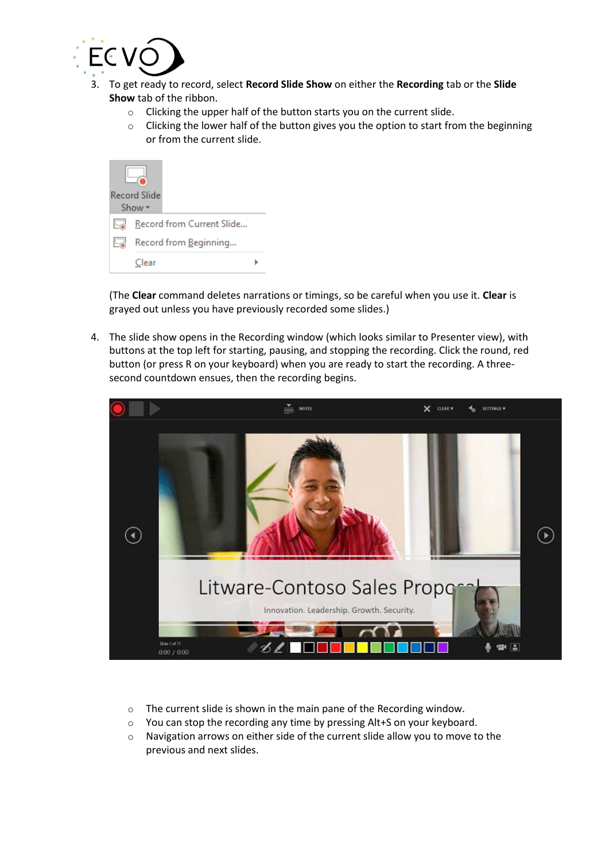

- 3. To get ready to record, select **Record Slide Show** on either the **Recording** tab or the **Slide Show** tab of the ribbon.
	- o Clicking the upper half of the button starts you on the current slide.
	- $\circ$  Clicking the lower half of the button gives you the option to start from the beginning or from the current slide.

|     | Record Slide<br>Show $\overline{ }$ |  |  |
|-----|-------------------------------------|--|--|
| لها | Record from Current Slide           |  |  |
|     | Record from Beginning               |  |  |
|     | Clear                               |  |  |

(The **Clear** command deletes narrations or timings, so be careful when you use it. **Clear** is grayed out unless you have previously recorded some slides.)

4. The slide show opens in the Recording window (which looks similar to Presenter view), with buttons at the top left for starting, pausing, and stopping the recording. Click the round, red button (or press R on your keyboard) when you are ready to start the recording. A threesecond countdown ensues, then the recording begins.



- o The current slide is shown in the main pane of the Recording window.
- o You can stop the recording any time by pressing Alt+S on your keyboard.
- o Navigation arrows on either side of the current slide allow you to move to the previous and next slides.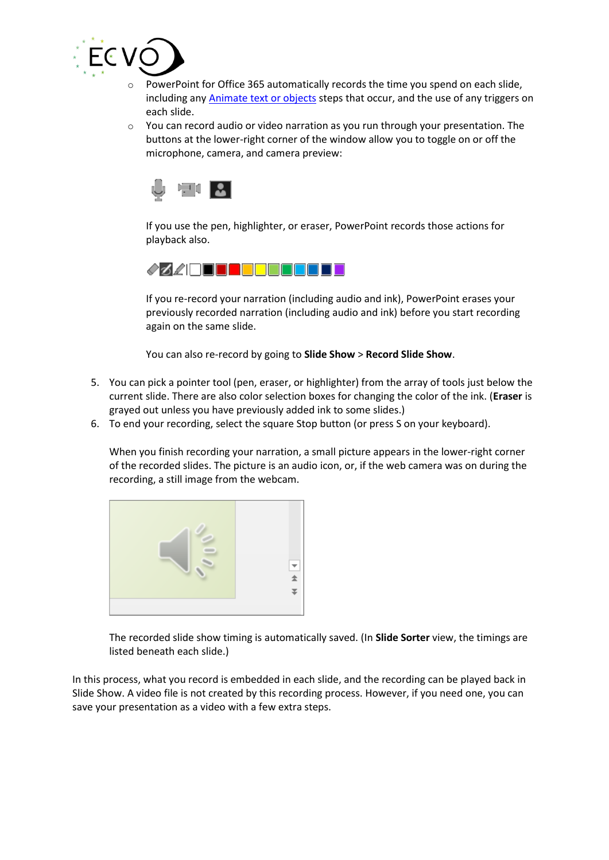

- $\circ$  PowerPoint for Office 365 automatically records the time you spend on each slide, including any [Animate text or objects](https://support.office.com/en-us/article/animate-text-or-objects-305a1c94-83b1-4778-8df5-fcf7a9b7b7c6) steps that occur, and the use of any triggers on each slide.
- $\circ$  You can record audio or video narration as you run through your presentation. The buttons at the lower-right corner of the window allow you to toggle on or off the microphone, camera, and camera preview:



If you use the pen, highlighter, or eraser, PowerPoint records those actions for playback also.



If you re-record your narration (including audio and ink), PowerPoint erases your previously recorded narration (including audio and ink) before you start recording again on the same slide.

You can also re-record by going to **Slide Show** > **Record Slide Show**.

- 5. You can pick a pointer tool (pen, eraser, or highlighter) from the array of tools just below the current slide. There are also color selection boxes for changing the color of the ink. (**Eraser** is grayed out unless you have previously added ink to some slides.)
- 6. To end your recording, select the square Stop button (or press S on your keyboard).

When you finish recording your narration, a small picture appears in the lower-right corner of the recorded slides. The picture is an audio icon, or, if the web camera was on during the recording, a still image from the webcam.



The recorded slide show timing is automatically saved. (In **Slide Sorter** view, the timings are listed beneath each slide.)

In this process, what you record is embedded in each slide, and the recording can be played back in Slide Show. A video file is not created by this recording process. However, if you need one, you can save your presentation as a video with a few extra steps.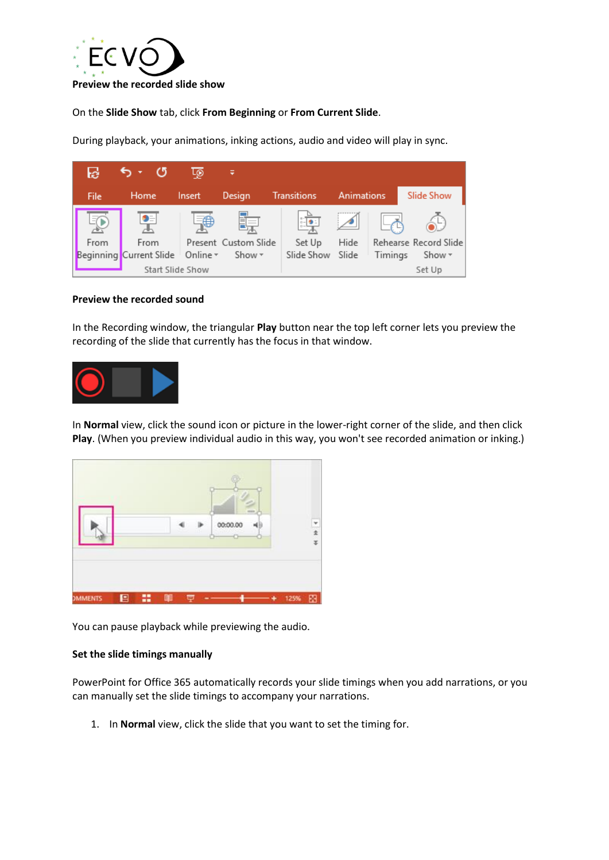

# On the **Slide Show** tab, click **From Beginning** or **From Current Slide**.

During playback, your animations, inking actions, audio and video will play in sync.



# **Preview the recorded sound**

In the Recording window, the triangular **Play** button near the top left corner lets you preview the recording of the slide that currently has the focus in that window.



In **Normal** view, click the sound icon or picture in the lower-right corner of the slide, and then click **Play**. (When you preview individual audio in this way, you won't see recorded animation or inking.)

|                |   |        |   | 00:00.00 |  |      | ۷<br>$\frac{1}{x}$ |
|----------------|---|--------|---|----------|--|------|--------------------|
| <b>DMMENTS</b> | ▣ | ₩<br>m | ∍ |          |  | 125% | 图                  |

You can pause playback while previewing the audio.

## **Set the slide timings manually**

PowerPoint for Office 365 automatically records your slide timings when you add narrations, or you can manually set the slide timings to accompany your narrations.

1. In **Normal** view, click the slide that you want to set the timing for.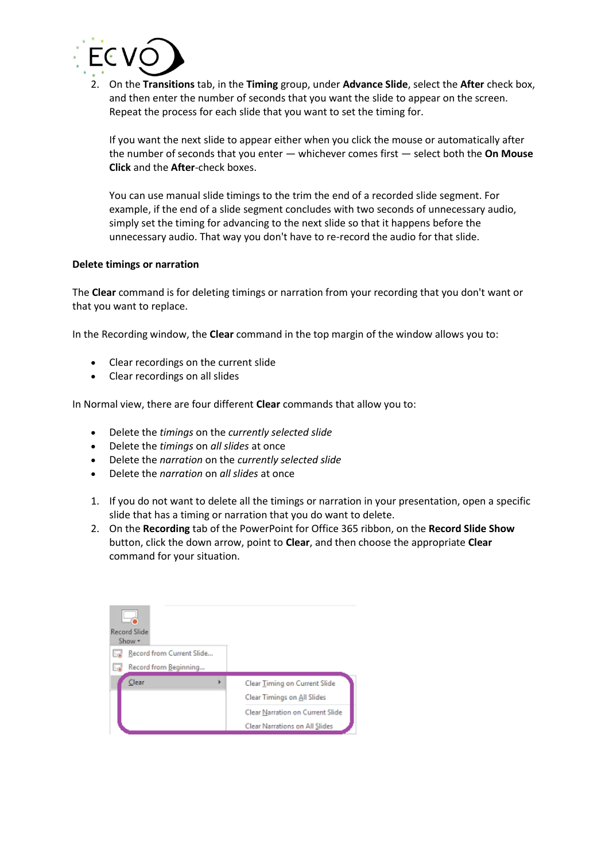

2. On the **Transitions** tab, in the **Timing** group, under **Advance Slide**, select the **After** check box, and then enter the number of seconds that you want the slide to appear on the screen. Repeat the process for each slide that you want to set the timing for.

If you want the next slide to appear either when you click the mouse or automatically after the number of seconds that you enter — whichever comes first — select both the **On Mouse Click** and the **After**-check boxes.

You can use manual slide timings to the trim the end of a recorded slide segment. For example, if the end of a slide segment concludes with two seconds of unnecessary audio, simply set the timing for advancing to the next slide so that it happens before the unnecessary audio. That way you don't have to re-record the audio for that slide.

## **Delete timings or narration**

The **Clear** command is for deleting timings or narration from your recording that you don't want or that you want to replace.

In the Recording window, the **Clear** command in the top margin of the window allows you to:

- Clear recordings on the current slide
- Clear recordings on all slides

In Normal view, there are four different **Clear** commands that allow you to:

- Delete the *timings* on the *currently selected slide*
- Delete the *timings* on *all slides* at once
- Delete the *narration* on the *currently selected slide*
- Delete the *narration* on *all slides* at once
- 1. If you do not want to delete all the timings or narration in your presentation, open a specific slide that has a timing or narration that you do want to delete.
- 2. On the **Recording** tab of the PowerPoint for Office 365 ribbon, on the **Record Slide Show** button, click the down arrow, point to **Clear**, and then choose the appropriate **Clear** command for your situation.

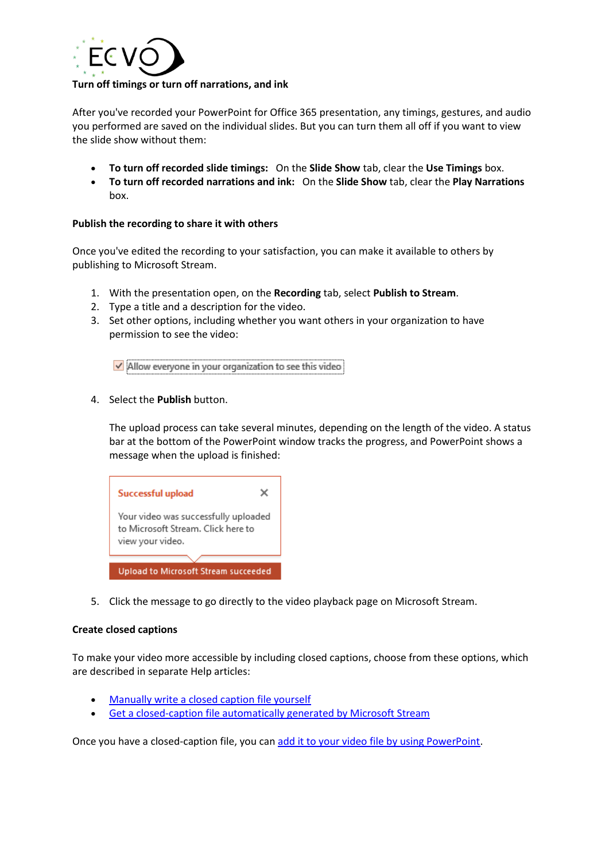

After you've recorded your PowerPoint for Office 365 presentation, any timings, gestures, and audio you performed are saved on the individual slides. But you can turn them all off if you want to view the slide show without them:

- **To turn off recorded slide timings:** On the **Slide Show** tab, clear the **Use Timings** box.
- **To turn off recorded narrations and ink:** On the **Slide Show** tab, clear the **Play Narrations** box.

## **Publish the recording to share it with others**

Once you've edited the recording to your satisfaction, you can make it available to others by publishing to Microsoft Stream.

- 1. With the presentation open, on the **Recording** tab, select **Publish to Stream**.
- 2. Type a title and a description for the video.
- 3. Set other options, including whether you want others in your organization to have permission to see the video:

Allow everyone in your organization to see this video

4. Select the **Publish** button.

The upload process can take several minutes, depending on the length of the video. A status bar at the bottom of the PowerPoint window tracks the progress, and PowerPoint shows a message when the upload is finished:



5. Click the message to go directly to the video playback page on Microsoft Stream.

#### **Create closed captions**

To make your video more accessible by including closed captions, choose from these options, which are described in separate Help articles:

- [Manually write a closed caption file yourself](https://support.office.com/en-us/article/create-closed-captions-for-a-video-b1cfb30f-5b00-4435-beeb-2a25e115024b)
- [Get a closed-caption file automatically generated by Microsoft Stream](https://support.office.com/en-us/article/microsoft-stream-automatically-creates-closed-captions-for-videos-8d6ac353-9ff2-4e2b-bca1-329499455308)

Once you have a closed-caption file, you ca[n add it to your video file by using PowerPoint.](https://support.office.com/en-us/article/add-closed-captions-or-subtitles-to-media-in-powerpoint-df091537-fb22-4507-898f-2358ddc0df18)